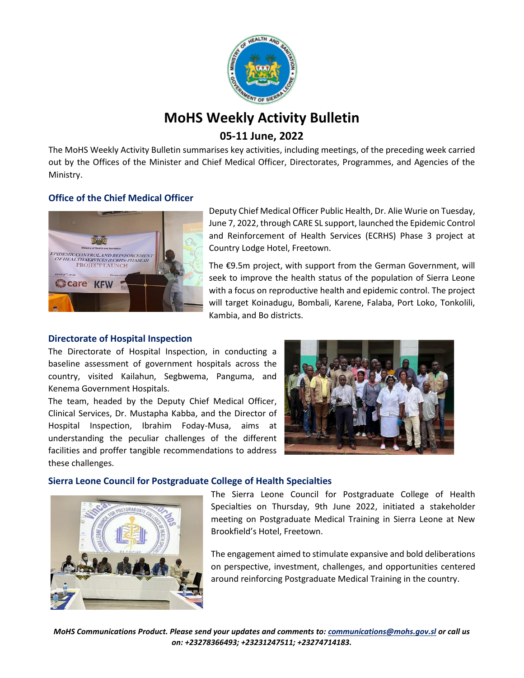

# **MoHS Weekly Activity Bulletin**

# **05-11 June, 2022**

The MoHS Weekly Activity Bulletin summarises key activities, including meetings, of the preceding week carried out by the Offices of the Minister and Chief Medical Officer, Directorates, Programmes, and Agencies of the Ministry.

# **Office of the Chief Medical Officer**



Deputy Chief Medical Officer Public Health, Dr. Alie Wurie on Tuesday, June 7, 2022, through CARE SL support, launched the Epidemic Control and Reinforcement of Health Services (ECRHS) Phase 3 project at Country Lodge Hotel, Freetown.

The €9.5m project, with support from the German Government, will seek to improve the health status of the population of Sierra Leone with a focus on reproductive health and epidemic control. The project will target Koinadugu, Bombali, Karene, Falaba, Port Loko, Tonkolili, Kambia, and Bo districts.

### **Directorate of Hospital Inspection**

The Directorate of Hospital Inspection, in conducting a baseline assessment of government hospitals across the country, visited Kailahun, Segbwema, Panguma, and Kenema Government Hospitals.

The team, headed by the Deputy Chief Medical Officer, Clinical Services, Dr. Mustapha Kabba, and the Director of Hospital Inspection, Ibrahim Foday-Musa, aims at understanding the peculiar challenges of the different facilities and proffer tangible recommendations to address these challenges.



### **Sierra Leone Council for Postgraduate College of Health Specialties**



The Sierra Leone Council for Postgraduate College of Health Specialties on Thursday, 9th June 2022, initiated a stakeholder meeting on Postgraduate Medical Training in Sierra Leone at New Brookfield's Hotel, Freetown.

The engagement aimed to stimulate expansive and bold deliberations on perspective, investment, challenges, and opportunities centered around reinforcing Postgraduate Medical Training in the country.

*MoHS Communications Product. Please send your updates and comments to[: communications@mohs.gov.sl](mailto:communications@mohs.gov.sl) or call us on: +23278366493; +23231247511; +23274714183.*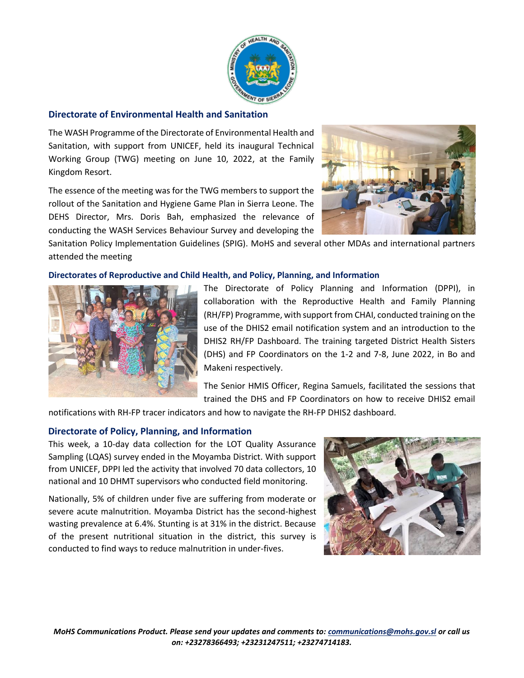

#### **Directorate of Environmental Health and Sanitation**

The WASH Programme of the Directorate of Environmental Health and Sanitation, with support from UNICEF, held its inaugural Technical Working Group (TWG) meeting on June 10, 2022, at the Family Kingdom Resort.

The essence of the meeting was for the TWG members to support the rollout of the Sanitation and Hygiene Game Plan in Sierra Leone. The DEHS Director, Mrs. Doris Bah, emphasized the relevance of conducting the WASH Services Behaviour Survey and developing the



Sanitation Policy Implementation Guidelines (SPIG). MoHS and several other MDAs and international partners attended the meeting

#### **Directorates of Reproductive and Child Health, and Policy, Planning, and Information**



The Directorate of Policy Planning and Information (DPPI), in collaboration with the Reproductive Health and Family Planning (RH/FP) Programme, with support from CHAI, conducted training on the use of the DHIS2 email notification system and an introduction to the DHIS2 RH/FP Dashboard. The training targeted District Health Sisters (DHS) and FP Coordinators on the 1-2 and 7-8, June 2022, in Bo and Makeni respectively.

The Senior HMIS Officer, Regina Samuels, facilitated the sessions that trained the DHS and FP Coordinators on how to receive DHIS2 email

notifications with RH-FP tracer indicators and how to navigate the RH-FP DHIS2 dashboard.

#### **Directorate of Policy, Planning, and Information**

This week, a 10-day data collection for the LOT Quality Assurance Sampling (LQAS) survey ended in the Moyamba District. With support from UNICEF, DPPI led the activity that involved 70 data collectors, 10 national and 10 DHMT supervisors who conducted field monitoring.

Nationally, 5% of children under five are suffering from moderate or severe acute malnutrition. Moyamba District has the second-highest wasting prevalence at 6.4%. Stunting is at 31% in the district. Because of the present nutritional situation in the district, this survey is conducted to find ways to reduce malnutrition in under-fives.